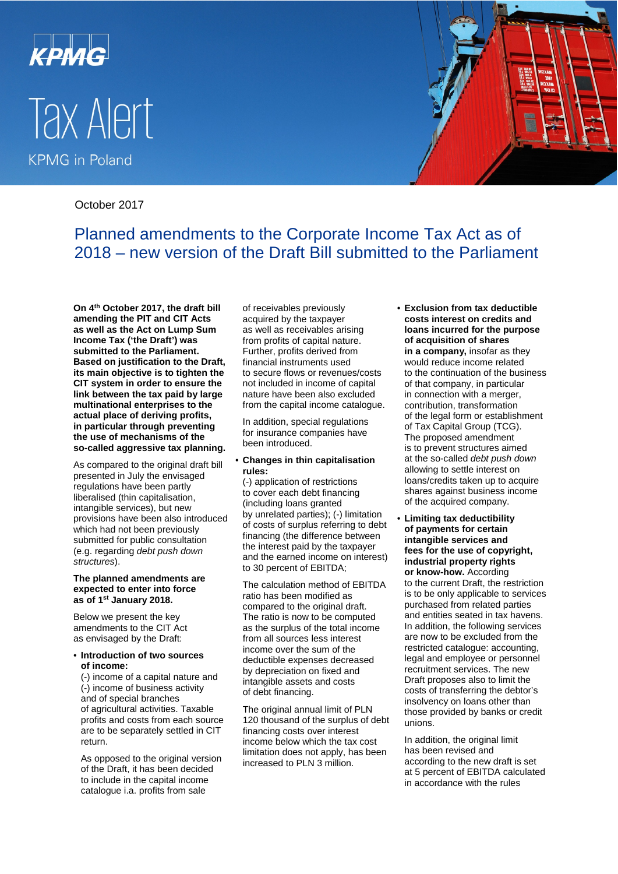

# Tax Alert **KPMG** in Poland



October 2017

Planned amendments to the Corporate Income Tax Act as of 2018 – new version of the Draft Bill submitted to the Parliament

**On 4th October 2017, the draft bill amending the PIT and CIT Acts as well as the Act on Lump Sum Income Tax ('the Draft') was submitted to the Parliament. Based on justification to the Draft, its main objective is to tighten the CIT system in order to ensure the link between the tax paid by large multinational enterprises to the actual place of deriving profits, in particular through preventing the use of mechanisms of the so-called aggressive tax planning.**

As compared to the original draft bill presented in July the envisaged regulations have been partly liberalised (thin capitalisation, intangible services), but new provisions have been also introduced which had not been previously submitted for public consultation (e.g. regarding *debt push down structures*).

#### **The planned amendments are expected to enter into force as of 1st January 2018.**

Below we present the key amendments to the CIT Act as envisaged by the Draft:

### • **Introduction of two sources of income:**

(-) income of a capital nature and (-) income of business activity and of special branches of agricultural activities. Taxable profits and costs from each source are to be separately settled in CIT return.

As opposed to the original version of the Draft, it has been decided to include in the capital income catalogue i.a. profits from sale

of receivables previously acquired by the taxpayer as well as receivables arising from profits of capital nature. Further, profits derived from financial instruments used to secure flows or revenues/costs not included in income of capital nature have been also excluded from the capital income catalogue.

In addition, special regulations for insurance companies have been introduced.

## • **Changes in thin capitalisation rules:**

(-) application of restrictions to cover each debt financing (including loans granted by unrelated parties); (-) limitation of costs of surplus referring to debt financing (the difference between the interest paid by the taxpayer and the earned income on interest) to 30 percent of EBITDA;

The calculation method of EBITDA ratio has been modified as compared to the original draft. The ratio is now to be computed as the surplus of the total income from all sources less interest income over the sum of the deductible expenses decreased by depreciation on fixed and intangible assets and costs of debt financing.

The original annual limit of PLN 120 thousand of the surplus of debt financing costs over interest income below which the tax cost limitation does not apply, has been increased to PLN 3 million.

• **Exclusion from tax deductible costs interest on credits and loans incurred for the purpose of acquisition of shares in a company,** insofar as they would reduce income related to the continuation of the business of that company, in particular in connection with a merger, contribution, transformation of the legal form or establishment of Tax Capital Group (TCG). The proposed amendment is to prevent structures aimed at the so-called *debt push down* allowing to settle interest on loans/credits taken up to acquire shares against business income of the acquired company.

• **Limiting tax deductibility of payments for certain intangible services and fees for the use of copyright, industrial property rights or know-how.** According to the current Draft, the restriction is to be only applicable to services purchased from related parties and entities seated in tax havens. In addition, the following services are now to be excluded from the restricted catalogue: accounting, legal and employee or personnel recruitment services. The new Draft proposes also to limit the costs of transferring the debtor's insolvency on loans other than those provided by banks or credit unions.

In addition, the original limit has been revised and according to the new draft is set at 5 percent of EBITDA calculated in accordance with the rules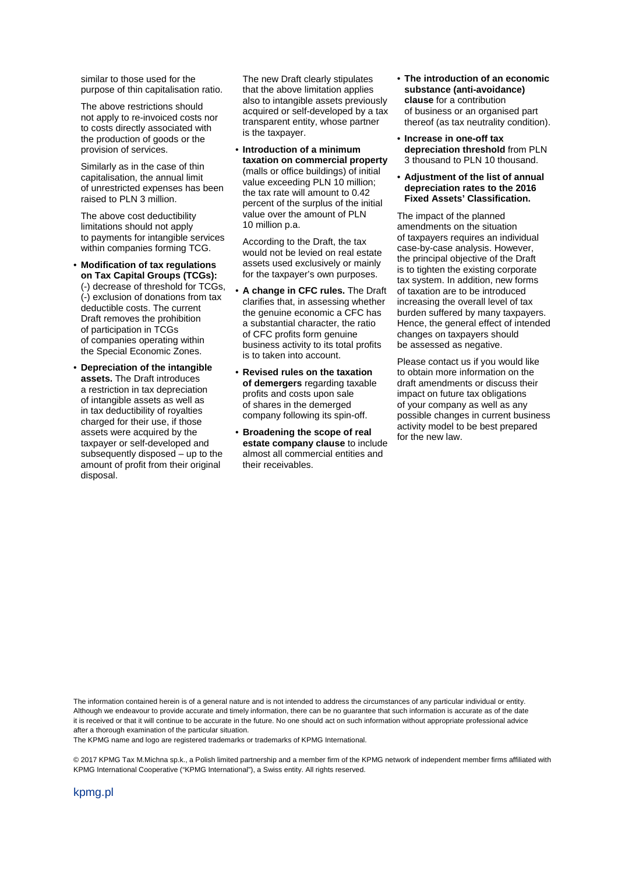similar to those used for the purpose of thin capitalisation ratio.

The above restrictions should not apply to re-invoiced costs nor to costs directly associated with the production of goods or the provision of services.

Similarly as in the case of thin capitalisation, the annual limit of unrestricted expenses has been raised to PLN 3 million.

The above cost deductibility limitations should not apply to payments for intangible services within companies forming TCG.

- **Modification of tax regulations on Tax Capital Groups (TCGs):** (-) decrease of threshold for TCGs, (-) exclusion of donations from tax deductible costs. The current Draft removes the prohibition of participation in TCGs of companies operating within the Special Economic Zones.
- **Depreciation of the intangible assets.** The Draft introduces a restriction in tax depreciation of intangible assets as well as in tax deductibility of royalties charged for their use, if those assets were acquired by the taxpayer or self-developed and subsequently disposed – up to the amount of profit from their original disposal.

The new Draft clearly stipulates that the above limitation applies also to intangible assets previously acquired or self-developed by a tax transparent entity, whose partner is the taxpayer.

• **Introduction of a minimum taxation on commercial property**  (malls or office buildings) of initial value exceeding PLN 10 million; the tax rate will amount to 0.42 percent of the surplus of the initial value over the amount of PLN 10 million p.a.

According to the Draft, the tax would not be levied on real estate assets used exclusively or mainly for the taxpayer's own purposes.

- **A change in CFC rules.** The Draft clarifies that, in assessing whether the genuine economic a CFC has a substantial character, the ratio of CFC profits form genuine business activity to its total profits is to taken into account.
- **Revised rules on the taxation of demergers** regarding taxable profits and costs upon sale of shares in the demerged company following its spin-off.
- **Broadening the scope of real estate company clause** to include almost all commercial entities and their receivables.
- **The introduction of an economic substance (anti-avoidance) clause** for a contribution of business or an organised part thereof (as tax neutrality condition).
- **Increase in one-off tax depreciation threshold** from PLN 3 thousand to PLN 10 thousand.
- **Adjustment of the list of annual depreciation rates to the 2016 Fixed Assets' Classification.**

The impact of the planned amendments on the situation of taxpayers requires an individual case-by-case analysis. However, the principal objective of the Draft is to tighten the existing corporate tax system. In addition, new forms of taxation are to be introduced increasing the overall level of tax burden suffered by many taxpayers. Hence, the general effect of intended changes on taxpayers should be assessed as negative.

Please contact us if you would like to obtain more information on the draft amendments or discuss their impact on future tax obligations of your company as well as any possible changes in current business activity model to be best prepared for the new law.

The information contained herein is of a general nature and is not intended to address the circumstances of any particular individual or entity. Although we endeavour to provide accurate and timely information, there can be no guarantee that such information is accurate as of the date it is received or that it will continue to be accurate in the future. No one should act on such information without appropriate professional advice after a thorough examination of the particular situation.

The KPMG name and logo are registered trademarks or trademarks of KPMG International.

© 2017 KPMG Tax M.Michna sp.k., a Polish limited partnership and a member firm of the KPMG network of independent member firms affiliated with KPMG International Cooperative ("KPMG International"), a Swiss entity. All rights reserved.